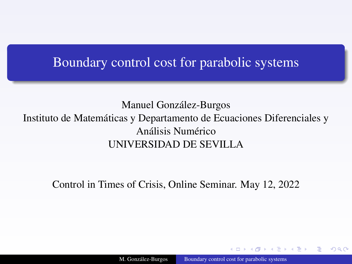### <span id="page-0-0"></span>Boundary control cost for parabolic systems

### Manuel González-Burgos Instituto de Matemáticas y Departamento de Ecuaciones Diferenciales y Análisis Numérico UNIVERSIDAD DE SEVILLA

Control in Times of Crisis, Online Seminar. May 12, 2022

 $290$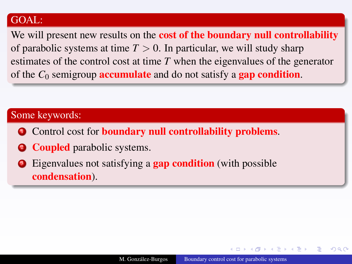### GOAL:

We will present new results on the **cost of the boundary null controllability** of parabolic systems at time  $T > 0$ . In particular, we will study sharp estimates of the control cost at time *T* when the eigenvalues of the generator of the  $C_0$  semigroup **accumulate** and do not satisfy a **gap condition**.

### Some keywords:

- **Control cost for boundary null controllability problems.**
- **2 Coupled** parabolic systems.
- Eigenvalues not satisfying a **gap condition** (with possible condensation).

 $\Omega$ 

 $AB = 12.7$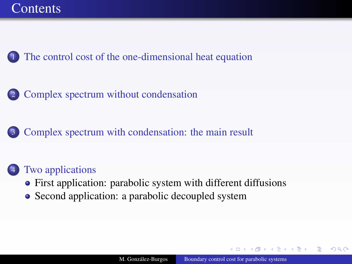<span id="page-2-0"></span>

[The control cost of the one-dimensional heat equation](#page-3-0)

2 [Complex spectrum without condensation](#page-18-0)

[Complex spectrum with condensation: the main result](#page-28-0)

### [Two applications](#page-38-0)

- [First application: parabolic system with different diffusions](#page-38-0)
- [Second application: a parabolic decoupled system](#page-53-0)

 $2Q$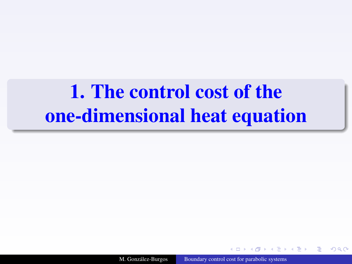# <span id="page-3-1"></span><span id="page-3-0"></span>[1.](#page-3-1) The control cost of the one-dimensional heat equation

M. González-Burgos [Boundary control cost for parabolic systems](#page-0-0)

 $09C$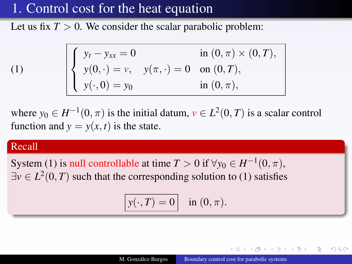Let us fix  $T > 0$ . We consider the scalar parabolic problem:

<span id="page-4-0"></span>
$$
\begin{cases}\ny_t - y_{xx} = 0 & \text{in } (0, \pi) \times (0, T), \\
y(0, \cdot) = v, & y(\pi, \cdot) = 0 \text{ on } (0, T), \\
y(\cdot, 0) = y_0 & \text{in } (0, \pi),\n\end{cases}
$$

where  $y_0 \in H^{-1}(0, \pi)$  is the initial datum,  $v \in L^2(0, T)$  is a scalar control function and  $y = y(x, t)$  is the state.

#### Recall

(1)

System [\(1\)](#page-4-0) is null controllable at time  $T > 0$  if  $\forall y_0 \in H^{-1}(0, \pi)$ ,  $\exists v \in L^2(0,T)$  such that the corresponding solution to [\(1\)](#page-4-0) satisfies

$$
\boxed{y(\cdot,T)=0} \quad \text{in } (0,\pi).
$$

つくい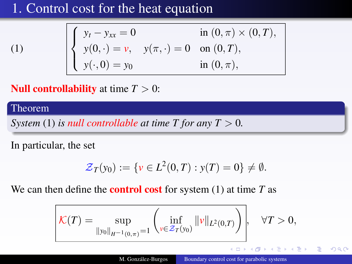(1) 
$$
\begin{cases} y_t - y_{xx} = 0 & \text{in } (0, \pi) \times (0, T), \\ y(0, \cdot) = v, & y(\pi, \cdot) = 0 \text{ on } (0, T), \\ y(\cdot, 0) = y_0 & \text{in } (0, \pi), \end{cases}
$$

**Null controllability** at time  $T > 0$ :

#### Theorem

*System* [\(1\)](#page-4-0) *is null controllable at time T for any*  $T > 0$ *.* 

In particular, the set

$$
\mathcal{Z}_T(y_0) := \{ v \in L^2(0,T) : y(T) = 0 \} \neq \emptyset.
$$

We can then define the control cost for system [\(1\)](#page-4-0) at time *T* as

$$
\mathcal{K}(T) = \sup_{\|y_0\|_{H^{-1}(0,\pi)}=1} \left( \inf_{\nu \in \mathcal{Z}_T(y_0)} \|\nu\|_{L^2(0,T)} \right), \quad \forall T > 0,
$$

つくい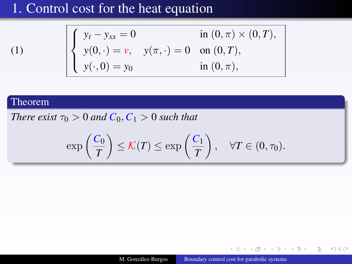$$
\begin{cases}\ny_t - y_{xx} = 0 & \text{in } (0, \pi) \times (0, T), \\
y(0, \cdot) = v, & y(\pi, \cdot) = 0 \text{ on } (0, T), \\
y(\cdot, 0) = y_0 & \text{in } (0, \pi),\n\end{cases}
$$

### Theorem

[\(1\)](#page-4-0)

*There exist*  $\tau_0 > 0$  *and*  $C_0$ ,  $C_1 > 0$  *such that* 

$$
\exp\left(\frac{C_0}{T}\right) \leq \mathcal{K}(T) \leq \exp\left(\frac{C_1}{T}\right), \quad \forall T \in (0, \tau_0).
$$

 $\leftarrow$   $\Box$ ×  $AB + AB$  つへへ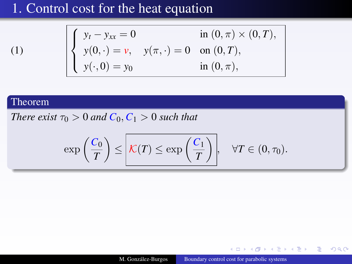$$
\begin{cases}\ny_t - y_{xx} = 0 & \text{in } (0, \pi) \times (0, T), \\
y(0, \cdot) = v, & y(\pi, \cdot) = 0 & \text{on } (0, T), \\
y(\cdot, 0) = y_0 & \text{in } (0, \pi),\n\end{cases}
$$

### Theorem

[\(1\)](#page-4-0)

*There exist*  $\tau_0 > 0$  *and*  $C_0$ ,  $C_1 > 0$  *such that* 

$$
\exp\left(\frac{C_0}{T}\right) \le \boxed{\mathcal{K}(T) \le \exp\left(\frac{C_1}{T}\right)}, \quad \forall T \in (0, \tau_0).
$$

**ALCOHOL:**  $\mathcal{A}$ 伊 ▶ 4 手 つへへ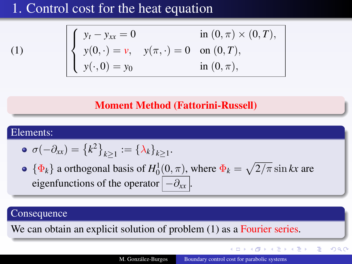[\(1\)](#page-4-0)

$$
\begin{cases}\ny_t - y_{xx} = 0 & \text{in } (0, \pi) \times (0, T), \\
y(0, \cdot) = v, & y(\pi, \cdot) = 0 \text{ on } (0, T), \\
y(\cdot, 0) = y_0 & \text{in } (0, \pi),\n\end{cases}
$$

### Moment Method (Fattorini-Russell)

#### Elements:

$$
\bullet \ \sigma(-\partial_{xx}) = \left\{k^2\right\}_{k \geq 1} := \left\{\lambda_k\right\}_{k \geq 1}.
$$

 $\{\Phi_k\}$  a orthogonal basis of  $H_0^1(0, \pi)$ , where  $\Phi_k = \sqrt{2/\pi} \sin kx$  are eigenfunctions of the operator  $|-\partial_{xx}|$ 

#### **Consequence**

We can obtain an explicit solution of problem [\(1\)](#page-4-0) as a Fourier series.

イロト イ押 トイヨ トイヨ トー

 $2Q$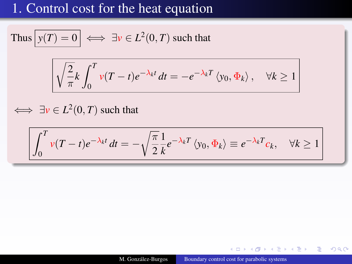Thus 
$$
y(T) = 0
$$
  $\iff \exists v \in L^2(0, T)$  such that  

$$
\sqrt{\frac{2}{\pi}k} \int_0^T v(T - t)e^{-\lambda_k t} dt = -e^{-\lambda_k T} \langle y_0, \Phi_k \rangle, \quad \forall k \ge 1
$$

 $\iff \exists v \in L^2(0, T)$  such that

$$
\int_0^T v(T-t)e^{-\lambda_k t} dt = -\sqrt{\frac{\pi}{2}} \frac{1}{k} e^{-\lambda_k T} \langle y_0, \Phi_k \rangle \equiv e^{-\lambda_k T} c_k, \quad \forall k \ge 1
$$

 $4.171.6$ 

A **School**  つへへ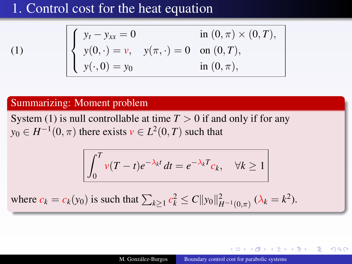[\(1\)](#page-4-0)

$$
\begin{cases}\ny_t - y_{xx} = 0 & \text{in } (0, \pi) \times (0, T), \\
y(0, \cdot) = v, & y(\pi, \cdot) = 0 \text{ on } (0, T), \\
y(\cdot, 0) = y_0 & \text{in } (0, \pi),\n\end{cases}
$$

### Summarizing: Moment problem

System [\(1\)](#page-4-0) is null controllable at time  $T > 0$  if and only if for any  $y_0 \in H^{-1}(0, \pi)$  there exists  $v \in L^2(0, T)$  such that

$$
\int_0^T v(T-t)e^{-\lambda_k t} dt = e^{-\lambda_k T} c_k, \quad \forall k \ge 1
$$

where  $c_k = c_k(y_0)$  is such that  $\sum_{k \geq 1} c_k^2 \leq C ||y_0||^2_{H^{-1}(0,\pi)} (\lambda_k = k^2)$ .

 $2Q$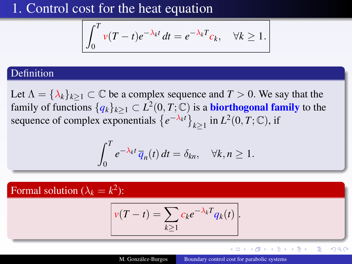$$
\int_0^T v(T-t)e^{-\lambda_k t} dt = e^{-\lambda_k T}c_k, \quad \forall k \ge 1.
$$

### Definition

Let  $\Lambda = {\lambda_k}_{k \geq 1} \subset \mathbb{C}$  be a complex sequence and  $T > 0$ . We say that the family of functions  $\{q_k\}_{k\geq 1}\subset L^2(0,T;\mathbb{C})$  is a **biorthogonal family** to the sequence of complex exponentials  $\{e^{-\lambda_k t}\}_{k\geq 1}$  in  $L^2(0, T; \mathbb{C})$ , if

$$
\int_0^T e^{-\lambda_k t} \overline{q}_n(t) dt = \delta_{kn}, \quad \forall k, n \ge 1.
$$

Formal solution ( $\lambda_k = k^2$ ):

$$
v(T-t) = \sum_{k\geq 1} c_k e^{-\lambda_k T} q_k(t).
$$

イロト イ押 トイヨ トイヨ ト

E

 $299$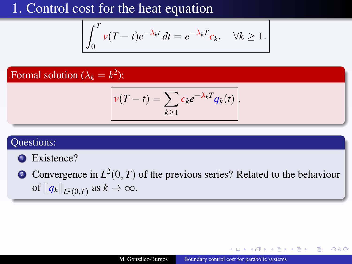$$
\int_0^T v(T-t)e^{-\lambda_k t} dt = e^{-\lambda_k T} c_k, \quad \forall k \ge 1.
$$

### Formal solution ( $\lambda_k = k^2$ ):

$$
v(T-t) = \sum_{k \geq 1} c_k e^{-\lambda_k T} q_k(t).
$$

### Questions:

- **1** Existence?
- **2** Convergence in  $L^2(0,T)$  of the previous series? Related to the behaviour of  $||q_k||_{L^2(0,T)}$  as  $k \to \infty$ .

 $2Q$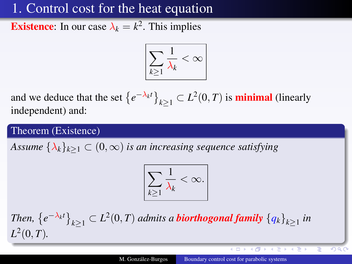**Existence**: In our case  $\lambda_k = k^2$ . This implies

$$
\boxed{\sum_{k\geq 1} \frac{1}{\lambda_k} < \infty}
$$

and we deduce that the set  $\left\{e^{-\lambda_k t}\right\}_{k\geq 1} \subset L^2(0,T)$  is **minimal** (linearly independent) and:

Theorem (Existence)

*Assume*  $\{\lambda_k\}_{k\geq 1} \subset (0,\infty)$  *is an increasing sequence satisfying* 

$$
\boxed{\sum_{k\geq 1} \frac{1}{\lambda_k} < \infty.}
$$

Then,  $\left\{e^{-\lambda_k t}\right\}_{k\geq 1} \subset L^2(0,T)$  admits a **biorthogonal family**  $\left\{q_k\right\}_{k\geq 1}$  in  $L^2(0,T)$ .

イロメ イ押メ イヨメ イヨメ

 $QQC$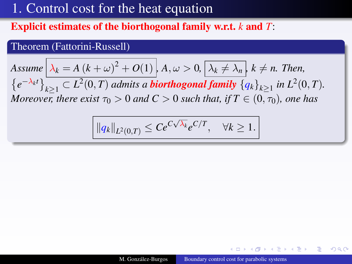### Explicit estimates of the biorthogonal family w.r.t. *k* and *T*:

### Theorem (Fattorini-Russell)

Assume 
$$
\lambda_k = A (k + \omega)^2 + O(1)
$$
,  $A, \omega > 0$ ,  $\lambda_k \neq \lambda_n$ ,  $k \neq n$ . Then,

 $\{e^{-\lambda_k t}\}_{k\geq 1} \subset L^2(0,T)$  *admits a biorthogonal family*  $\{q_k\}_{k\geq 1}$  *in L*<sup>2</sup>(0, *T*)*. Moreover, there exist*  $\tau_0 > 0$  *and*  $C > 0$  *such that, if*  $T \in (0, \tau_0)$ *, one has* 

$$
||q_k||_{L^2(0,T)} \leq Ce^{C\sqrt{\lambda_k}}e^{C/T}, \quad \forall k \geq 1.
$$

つくい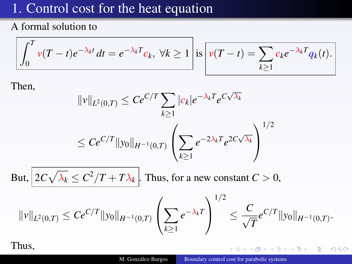<span id="page-15-0"></span>A formal solution to

$$
\int_0^T v(T-t)e^{-\lambda_k t} dt = e^{-\lambda_k T} c_k, \ \forall k \ge 1 \ \mathrm{is} \ \boxed{v(T-t) = \sum_{k \ge 1} c_k e^{-\lambda_k T} q_k(t)}.
$$

Then,

$$
||v||_{L^{2}(0,T)} \leq Ce^{C/T} \sum_{k\geq 1} |c_{k}|e^{-\lambda_{k}T}e^{C\sqrt{\lambda_{k}}}
$$
  
\n
$$
\leq Ce^{C/T}||y_{0}||_{H^{-1}(0,T)} \left(\sum_{k\geq 1} e^{-2\lambda_{k}T}e^{2C\sqrt{\lambda_{k}}}\right)^{1/2}
$$
  
\nBut,  $2C\sqrt{\lambda_{k}} \leq C^{2}/T + T\lambda_{k}$ . Thus, for a new constant  $C > 0$ ,  
\n
$$
||v||_{L^{2}(0,T)} \leq Ce^{C/T}||y_{0}||_{H^{-1}(0,T)} \left(\sum_{k\geq 1} e^{-\lambda_{k}T}\right)^{1/2} \leq \frac{C}{\sqrt{T}}e^{C/T}||y_{0}||_{H^{-1}(0,T)}.
$$

### Thus,

 $\mathbf{I}$ 

K ロトメ 御 トメ 君 トメ 君 トー

È

 $290$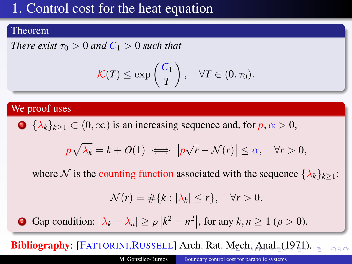#### <span id="page-16-0"></span>Theorem

*There exist*  $\tau_0 > 0$  *and*  $C_1 > 0$  *such that* 

$$
\mathcal{K}(T) \le \exp\left(\frac{C_1}{T}\right), \quad \forall T \in (0, \tau_0).
$$

### We proof uses

• 
$$
\{\lambda_k\}_{k\geq 1} \subset (0,\infty)
$$
 is an increasing sequence and, for  $p, \alpha > 0$ ,

$$
p\sqrt{\lambda_k} = k + O(1) \iff |p\sqrt{r} - \mathcal{N}(r)| \leq \alpha, \quad \forall r > 0,
$$

where N is the counting function associated with the sequence  $\{\lambda_k\}_{k>1}$ :

$$
\mathcal{N}(r) = \#\{k : |\lambda_k| \le r\}, \quad \forall r > 0.
$$

**2** Gap condition:  $|\lambda_k - \lambda_n| \ge \rho \left| k^2 - n^2 \right|$ , for any  $k, n \ge 1$  ( $\rho > 0$ ).

**Bibliogr[a](#page-2-0)phy:** [FATTORINI, RUSSELL] Arch. Rat. [M](#page-15-0)e[ch](#page-17-0)[.](#page-0-0) [A](#page-16-0)[n](#page-17-0)a[l.](#page-3-0) [\(](#page-17-0)[1](#page-17-0)[9](#page-2-0)[7](#page-3-0)1[\)](#page-18-0).  $\Omega$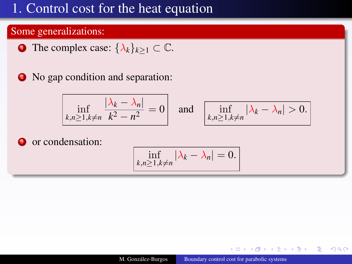### <span id="page-17-0"></span>Some generalizations:

- **1** The complex case:  $\{\lambda_k\}_{k>1} \subset \mathbb{C}$ .
- <sup>2</sup> No gap condition and separation:

$$
\inf_{k,n\geq 1, k\neq n} \frac{|\lambda_k - \lambda_n|}{k^2 - n^2} = 0 \quad \text{and} \quad \boxed{\inf_{k,n\geq 1, k\neq n} |\lambda_k - \lambda_n| > 0.}
$$

<sup>3</sup> or condensation:

$$
\inf_{k,n\geq 1,k\neq n}|\lambda_k-\lambda_n|=0.
$$

4 17 18

 $2Q$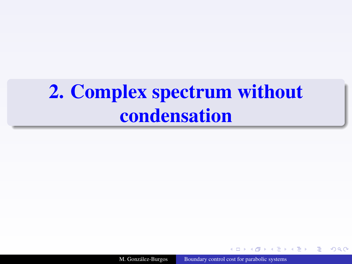# <span id="page-18-1"></span><span id="page-18-0"></span>[2.](#page-18-1) Complex spectrum without condensation

M. González-Burgos [Boundary control cost for parabolic systems](#page-0-0)

**伊 ▶ (王 )** 

つくい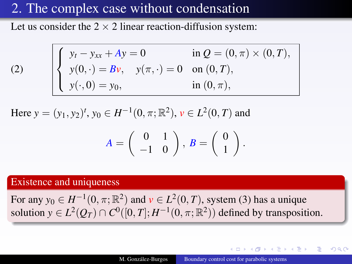Let us consider the  $2 \times 2$  linear reaction-diffusion system:

<span id="page-19-0"></span>(2) 
$$
\begin{cases} y_t - y_{xx} + Ay = 0 & \text{in } Q = (0, \pi) \times (0, T), \\ y(0, \cdot) = Bv, & y(\pi, \cdot) = 0 \text{ on } (0, T), \\ y(\cdot, 0) = y_0, & \text{in } (0, \pi), \end{cases}
$$

Here  $y = (y_1, y_2)^t$ ,  $y_0 \in H^{-1}(0, \pi; \mathbb{R}^2)$ ,  $v \in L^2(0, T)$  and

$$
A = \left(\begin{array}{cc} 0 & 1 \\ -1 & 0 \end{array}\right), B = \left(\begin{array}{c} 0 \\ 1 \end{array}\right).
$$

#### Existence and uniqueness

For any  $y_0 \in H^{-1}(0, \pi; \mathbb{R}^2)$  and  $v \in L^2(0, T)$ , system [\(3\)](#page-39-0) has a unique solution  $y \in L^2(Q_T) \cap C^0([0,T]; H^{-1}(0,\pi;\mathbb{R}^2))$  defined by transposition.

つくい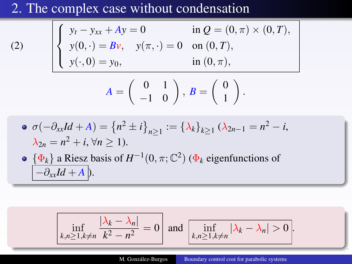[\(2\)](#page-19-0)

$$
\begin{cases}\ny_t - y_{xx} + Ay = 0 & \text{in } Q = (0, \pi) \times (0, T), \\
y(0, \cdot) = Bv, \quad y(\pi, \cdot) = 0 & \text{on } (0, T), \\
y(\cdot, 0) = y_0, & \text{in } (0, \pi),\n\end{cases}
$$

$$
A = \left(\begin{array}{cc} 0 & 1 \\ -1 & 0 \end{array}\right), B = \left(\begin{array}{c} 0 \\ 1 \end{array}\right).
$$

$$
\bullet \ \sigma(-\partial_{xx}Id + A) = \{n^2 \pm i\}_{n \ge 1} := \{\lambda_k\}_{k \ge 1} (\lambda_{2n-1} = n^2 - i, \lambda_{2n} = n^2 + i, \forall n \ge 1).
$$

• 
$$
\{\Phi_k\}
$$
 a Riesz basis of  $H^{-1}(0, \pi; \mathbb{C}^2)$  ( $\Phi_k$  eigenfunctions of   
 $[-\partial_{xx}Id + A]$ ).

$$
\inf_{k,n\geq 1, k\neq n} \frac{|\lambda_k - \lambda_n|}{k^2 - n^2} = 0
$$
 and 
$$
\inf_{k,n\geq 1, k\neq n} |\lambda_k - \lambda_n| > 0
$$
.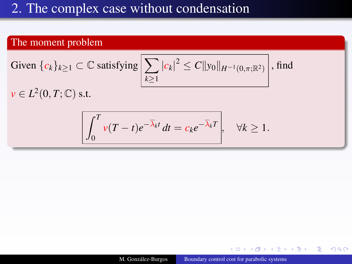### The moment problem

Given 
$$
\{c_k\}_{k\geq 1} \subset \mathbb{C}
$$
 satisfying  $\left[\sum_{k\geq 1} |c_k|^2 \leq C ||y_0||_{H^{-1}(0,\pi;\mathbb{R}^2)}\right]$ , find

 $\nu \in L^2(0,T;\mathbb{C})$  s.t.

$$
\int_0^T v(T-t)e^{-\overline{\lambda}_k t} dt = c_k e^{-\overline{\lambda}_k T}, \quad \forall k \ge 1.
$$

**K ロ ト K 伊 ト K ヨ ト** 

つへへ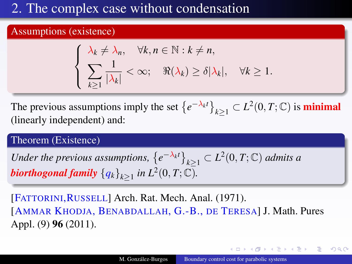#### Assumptions (existence)

$$
\begin{cases} \lambda_k \neq \lambda_n, & \forall k, n \in \mathbb{N} : k \neq n, \\ \sum_{k \geq 1} \frac{1}{|\lambda_k|} < \infty; \quad \Re(\lambda_k) \geq \delta |\lambda_k|, & \forall k \geq 1. \end{cases}
$$

The previous assumptions imply the set  $\left\{e^{-\lambda_k t}\right\}_{k\geq 1} \subset L^2(0,T;\mathbb{C})$  is **minimal** (linearly independent) and:

### Theorem (Existence)

Under the previous assumptions,  $\left\{e^{-\lambda_k t}\right\}_{k\geq 1} \subset L^2(0,T;\mathbb{C})$  admits a *biorthogonal family*  $\left\{ q_k \right\}_{k \geq 1}$  *in*  $L^2(0,T;\mathbb{C})$ *.* 

[FATTORINI,RUSSELL] Arch. Rat. Mech. Anal. (1971). [AMMAR KHODJA, BENABDALLAH, G.-B., DE TERESA] J. Math. Pures Appl. (9) 96 (2011).

すロト (御) すきとすきとく

 $2Q$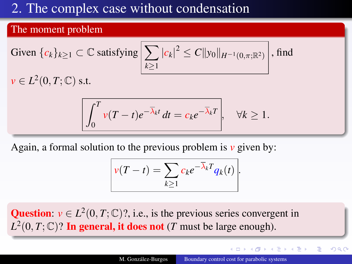#### The moment problem

Given 
$$
\{c_k\}_{k\geq 1} \subset \mathbb{C}
$$
 satisfying  $\left| \sum_{k\geq 1} |c_k|^2 \leq C ||y_0||_{H^{-1}(0,\pi;\mathbb{R}^2)} \right|$ , find  $v \in L^2(0,T;\mathbb{C})$  s.t.

$$
\int_0^T v(T-t)e^{-\overline{\lambda}_k t} dt = c_k e^{-\overline{\lambda}_k T}, \quad \forall k \ge 1.
$$

Again, a formal solution to the previous problem is *v* given by:

$$
v(T-t) = \sum_{k\geq 1} c_k e^{-\overline{\lambda}_k T} q_k(t).
$$

Question:  $v \in L^2(0, T; \mathbb{C})$ ?, i.e., is the previous series convergent in  $L^2(0, T; \mathbb{C})$ ? In general, it does not (*T* must be large enough).

 $2Q$ 

 $\mathcal{A} \leftarrow \mathcal{A} \cup \mathcal{A} \cup \mathcal{A} \cup \mathcal{A} \cup \mathcal{A} \cup \mathcal{A}$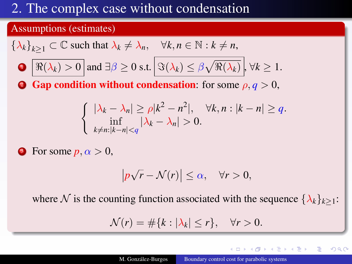### Assumptions (estimates)

$$
\{\lambda_k\}_{k\geq 1} \subset \mathbb{C} \text{ such that } \lambda_k \neq \lambda_n, \quad \forall k, n \in \mathbb{N} : k \neq n,
$$
  
\n
$$
\bullet \quad \boxed{\Re(\lambda_k) > 0} \text{ and } \exists \beta \geq 0 \text{ s.t. } \boxed{\Im(\lambda_k) \leq \beta \sqrt{\Re(\lambda_k)}}, \forall k \geq 1.
$$
  
\n
$$
\bullet \quad \text{Gap condition without condensation: for some } \rho, q > 0,
$$
  
\n
$$
\begin{cases}\n|\lambda_k - \lambda_n| \geq \rho |k^2 - n^2|, & \forall k, n : |k - n| \geq q, \\
\inf_{k \neq n : |k - n| < q} |\lambda_k - \lambda_n| > 0.\n\end{cases}
$$

**3** For some  $p, \alpha > 0$ ,

$$
|p\sqrt{r}-\mathcal{N}(r)|\leq \alpha, \quad \forall r>0,
$$

where N is the counting function associated with the sequence  $\{\lambda_k\}_{k\geq 1}$ :

$$
\mathcal{N}(r) = \#\{k : |\lambda_k| \le r\}, \quad \forall r > 0.
$$

 $QQ$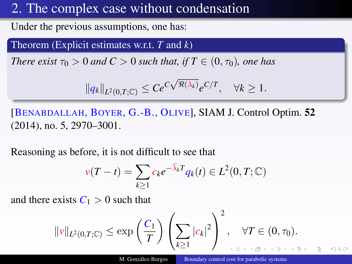Under the previous assumptions, one has:

Theorem (Explicit estimates w.r.t. *T* and *k*)

*There exist*  $\tau_0 > 0$  *and*  $C > 0$  *such that, if*  $T \in (0, \tau_0)$ *, one has* 

$$
||q_k||_{L^2(0,T;\mathbb{C})} \leq Ce^{C\sqrt{\Re(\lambda_k)}}e^{C/T}, \quad \forall k \geq 1.
$$

[BENABDALLAH, BOYER, G.-B., OLIVE], SIAM J. Control Optim. 52 (2014), no. 5, 2970–3001.

Reasoning as before, it is not difficult to see that

$$
v(T-t) = \sum_{k\geq 1} c_k e^{-\overline{\lambda}_k T} q_k(t) \in L^2(0,T;\mathbb{C})
$$

and there exists  $C_1 > 0$  such that

$$
\|\nu\|_{L^2(0,T;\mathbb C)} \leq \exp\left(\frac{C_1}{T}\right) \left(\sum_{k\geq 1} |c_k|^2\right)^2, \quad \forall T \in (0,\tau_0).
$$

M. González-Burgos [Boundary control cost for parabolic systems](#page-0-0)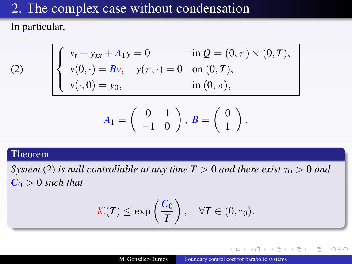In particular,

(2) 
$$
\begin{cases} y_t - y_{xx} + A_1 y = 0 & \text{in } Q = (0, \pi) \times (0, T), \\ y(0, \cdot) = Bv, \quad y(\pi, \cdot) = 0 & \text{on } (0, T), \\ y(\cdot, 0) = y_0, & \text{in } (0, \pi), \end{cases}
$$

$$
A_1=\left(\begin{array}{cc}0&1\\-1&0\end{array}\right),\ B=\left(\begin{array}{c}0\\1\end{array}\right).
$$

#### Theorem

*System* [\(2\)](#page-19-0) *is null controllable at any time*  $T > 0$  *and there exist*  $\tau_0 > 0$  *and*  $C_0 > 0$  *such that* 

$$
\mathcal{K}(T) \le \exp\left(\frac{C_0}{T}\right), \quad \forall T \in (0, \tau_0).
$$

4 17 18

 $A\rightarrow A$ 

 $QQ$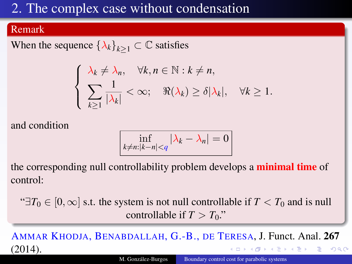### Remark

When the sequence  $\{\lambda_k\}_{k>1} \subset \mathbb{C}$  satisfies

$$
\begin{cases} \lambda_k \neq \lambda_n, & \forall k, n \in \mathbb{N} : k \neq n, \\ \sum_{k \geq 1} \frac{1}{|\lambda_k|} < \infty; \quad \Re(\lambda_k) \geq \delta |\lambda_k|, & \forall k \geq 1. \end{cases}
$$

and condition

$$
\inf_{k \neq n: |k - n| < q} |\lambda_k - \lambda_n| = 0
$$

the corresponding null controllability problem develops a **minimal time** of control:

" $\exists T_0 \in [0,\infty]$  s.t. the system is not null controllable if  $T < T_0$  and is null controllable if  $T > T_0$ ."

AMMAR KHODJA, BENABDALLAH, G.-B., DE TERESA, J. Funct. Anal. 267 (2014).  $QQ$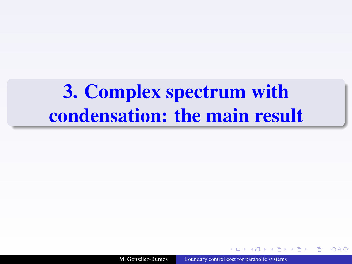<span id="page-28-1"></span><span id="page-28-0"></span>[3.](#page-28-1) Complex spectrum with condensation: the main result

M. González-Burgos [Boundary control cost for parabolic systems](#page-0-0)

n a G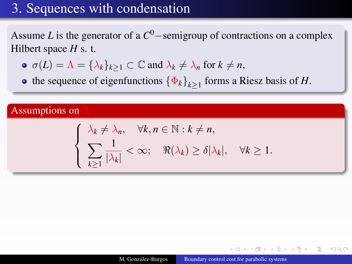<span id="page-29-0"></span>Assume *L* is the generator of a *C* <sup>0</sup>−semigroup of contractions on a complex Hilbert space *H* s. t.

- $\sigma(L) = \Lambda = {\lambda_k}_{k\geq 1} \subset \mathbb{C}$  and  $\lambda_k \neq \lambda_n$  for  $k \neq n$ ,
- the sequence of eigenfunctions  $\{\Phi_k\}_{k\geq 1}$  forms a Riesz basis of *H*.

### Assumptions on

$$
\begin{cases} \lambda_k \neq \lambda_n, & \forall k, n \in \mathbb{N} : k \neq n, \\ \sum_{k \geq 1} \frac{1}{|\lambda_k|} < \infty; \quad \Re(\lambda_k) \geq \delta |\lambda_k|, & \forall k \geq 1. \end{cases}
$$

つくい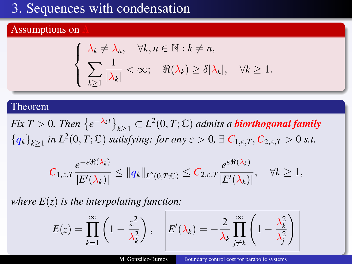#### <span id="page-30-0"></span>Assumptions on

$$
\begin{cases} \lambda_k \neq \lambda_n, & \forall k, n \in \mathbb{N} : k \neq n, \\ \sum_{k \geq 1} \frac{1}{|\lambda_k|} < \infty; \quad \Re(\lambda_k) \geq \delta |\lambda_k|, & \forall k \geq 1. \end{cases}
$$

#### Theorem

*Fix*  $T > 0$ . Then  $\left\{e^{-\lambda_k t}\right\}_{k \geq 1} \subset L^2(0,T;\mathbb{C})$  *admits a biorthogonal family*  ${q_k}_{k\geq1}$  *in L*<sup>2</sup>(0, *T*; C) *satisfying: for any*  $\varepsilon > 0$ ,  $\exists C_{1,\varepsilon,T}$ ,  $C_{2,\varepsilon,T} > 0$  *s.t.* 

$$
C_{1,\varepsilon,T}\frac{e^{-\varepsilon\Re(\lambda_k)}}{|E'(\lambda_k)|}\leq \|q_k\|_{L^2(0,T;\mathbb C)}\leq C_{2,\varepsilon,T}\frac{e^{\varepsilon\Re(\lambda_k)}}{|E'(\lambda_k)|},\quad \forall k\geq 1,
$$

*where E*(*z*) *is the interpolating function:*

$$
E(z) = \prod_{k=1}^{\infty} \left(1 - \frac{z^2}{\lambda_k^2}\right), \quad E'(\lambda_k) = -\frac{2}{\lambda_k} \prod_{j \neq k}^{\infty} \left(1 - \frac{\lambda_k^2}{\lambda_j^2}\right)
$$

M. González-Burgos [Boundary control cost for parabolic systems](#page-0-0)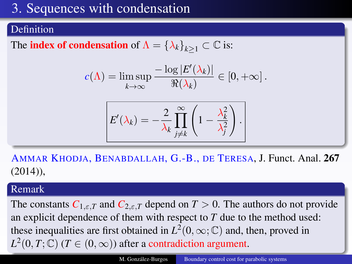### <span id="page-31-0"></span>Definition

The **index of condensation** of  $\Lambda = {\lambda_k}_{k>1} \subset \mathbb{C}$  is:

$$
c(\Lambda) = \limsup_{k \to \infty} \frac{-\log |E'(\lambda_k)|}{\Re(\lambda_k)} \in [0, +\infty].
$$

$$
E'(\lambda_k) = -\frac{2}{\lambda_k} \prod_{j \neq k}^{\infty} \left(1 - \frac{\lambda_k^2}{\lambda_j^2}\right).
$$

AMMAR KHODJA, BENABDALLAH, G.-B., DE TERESA, J. Funct. Anal. 267  $(2014)$ ),

### Remark

The constants  $C_{1,\varepsilon,T}$  and  $C_{2,\varepsilon,T}$  depend on  $T > 0$ . The authors do not provide an explicit dependence of them with respect to *T* due to the method used: these inequalities are first obtained in  $L^2(0,\infty;\mathbb{C})$  and, then, proved in  $L^2(0,T;\mathbb{C})$  (*T*  $\in (0,\infty)$ ) after a contradiction argu[me](#page-30-0)[nt](#page-32-0)[.](#page-30-0)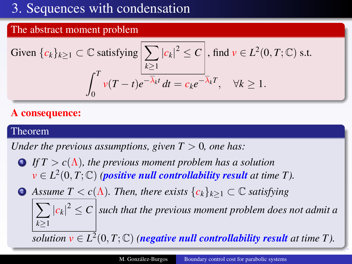### <span id="page-32-0"></span>The abstract moment problem

Given 
$$
\{c_k\}_{k\geq 1} \subset \mathbb{C}
$$
 satisfying  $\left| \sum_{k\geq 1} |c_k|^2 \leq C \right|$ , find  $v \in L^2(0, T; \mathbb{C})$  s.t.  

$$
\int_0^T v(T-t)e^{-\overline{\lambda}_k t} dt = c_k e^{-\overline{\lambda}_k T}, \quad \forall k \geq 1.
$$

### A consequence:

#### Theorem

*Under the previous assumptions, given*  $T > 0$ *, one has:* 

- $\bigcirc$  *If*  $T > c(\Lambda)$ , the previous moment problem has a solution  $\mathbf{v} \in L^2(0,T;\mathbb{C})$  *(positive null controllability result at time T).*
- **2** *Assume*  $T < c(\Lambda)$ *. Then, there exists*  ${c_k}_{k>1} \subset \mathbb{C}$  *satisfying*

 $\sum |c_k|^2 \le C$  such that the previous moment problem does not admit a *k*≥1

 $\overline{solution v \in L^2}(0,T;\mathbb{C})$  *(negative null controllability result at time T).*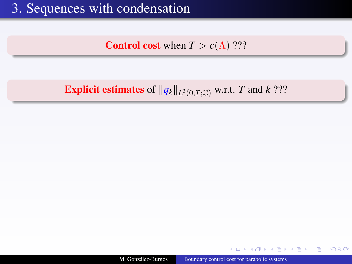**Control cost** when  $T > c(\Lambda)$  ???

### **Explicit estimates** of  $||q_k||_{L^2(0,T;\mathbb{C})}$  w.r.t. *T* and *k* ???

M. González-Burgos [Boundary control cost for parabolic systems](#page-0-0)

 $4.171.6$ 

 $A = 1$ 

 $QQ$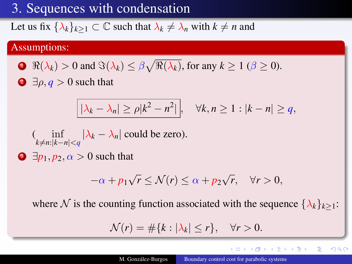Let us fix  $\{\lambda_k\}_{k>1} \subset \mathbb{C}$  such that  $\lambda_k \neq \lambda_n$  with  $k \neq n$  and

### Assumptions:

• 
$$
\Re(\lambda_k) > 0
$$
 and  $\Im(\lambda_k) \le \beta \sqrt{\Re(\lambda_k)}$ , for any  $k \ge 1$  ( $\beta \ge 0$ ).

 $\Theta$   $\exists \rho, q > 0$  such that

$$
|\lambda_k - \lambda_n| \ge \rho |k^2 - n^2|, \quad \forall k, n \ge 1 : |k - n| \ge q,
$$

$$
(\inf_{k \neq n: |k-n| < q} |\lambda_k - \lambda_n| \text{ could be zero}).
$$

 $\bigcirc$   $\exists p_1, p_2, \alpha > 0$  such that

$$
-\alpha + p_1 \sqrt{r} \le \mathcal{N}(r) \le \alpha + p_2 \sqrt{r}, \quad \forall r > 0,
$$

where N is the counting function associated with the sequence  $\{\lambda_k\}_{k\geq 1}$ :

$$
\mathcal{N}(r) = \#\{k : |\lambda_k| \le r\}, \quad \forall r > 0.
$$

イロト イ押 トイヨ トイヨ ト

 $2Q$ 

э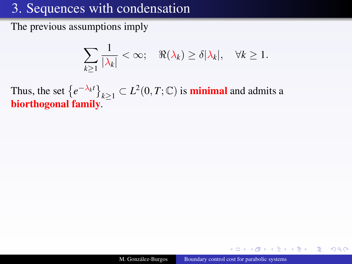The previous assumptions imply

$$
\sum_{k\geq 1} \frac{1}{|\lambda_k|} < \infty; \quad \Re(\lambda_k) \geq \delta |\lambda_k|, \quad \forall k \geq 1.
$$

Thus, the set  $\{e^{-\lambda_k t}\}_{k\geq 1} \subset L^2(0,T;\mathbb{C})$  is **minimal** and admits a biorthogonal family.

 $2Q$ 

 $A\rightarrow A$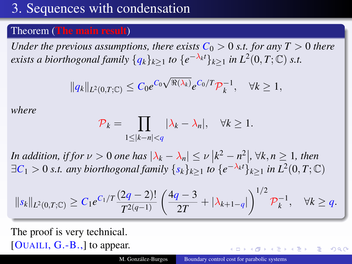# [3.](#page-28-0) Sequences with condensation

#### Theorem (The main result)

*Under the previous assumptions, there exists*  $C_0 > 0$  *s.t. for any T*  $> 0$  *there exists a biorthogonal family*  $\{q_k\}_{k\geq 1}$  *to*  $\{e^{-\lambda_k t}\}_{k\geq 1}$  *in L*<sup>2</sup>(0, *T*; C) *s.t.* 

$$
||q_k||_{L^2(0,T;\mathbb{C})} \leq C_0 e^{C_0 \sqrt{\Re(\lambda_k)}} e^{C_0/T} \mathcal{P}_k^{-1}, \quad \forall k \geq 1,
$$

*where*

$$
\mathcal{P}_k = \prod_{1 \le |k - n| < q} |\lambda_k - \lambda_n|, \quad \forall k \ge 1.
$$

*In addition, if for*  $\nu > 0$  *one has*  $|\lambda_k - \lambda_n| \le \nu |k^2 - n^2|$ ,  $\forall k, n \ge 1$ , then ∃*C*<sup>1</sup> > 0 *s.t. any biorthogonal family* {*sk*}*k*≥<sup>1</sup> *to* {*e* <sup>−</sup>λ*kt*}*k*≥<sup>1</sup> *in L*<sup>2</sup> (0, *T*; C)

$$
||s_k||_{L^2(0,T;\mathbb{C})} \geq C_1 e^{C_1/T} \frac{(2q-2)!}{T^{2(q-1)}} \left( \frac{4q-3}{2T} + |\lambda_{k+1-q}| \right)^{1/2} \mathcal{P}_k^{-1}, \quad \forall k \geq q.
$$

The proof is very technical. [OUAILI,  $G.-B.,$ ] to appear.

つくい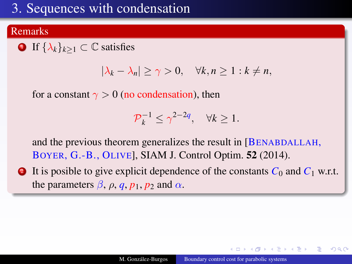# <span id="page-37-0"></span>[3.](#page-28-0) Sequences with condensation

#### Remarks

**1** If  $\{\lambda_k\}_{k>1} \subset \mathbb{C}$  satisfies

$$
|\lambda_k - \lambda_n| \ge \gamma > 0, \quad \forall k, n \ge 1 : k \ne n,
$$

for a constant  $\gamma > 0$  (no condensation), then

$$
\mathcal{P}_k^{-1} \le \gamma^{2-2q}, \quad \forall k \ge 1.
$$

and the previous theorem generalizes the result in [BENABDALLAH, BOYER, G.-B., OLIVE], SIAM J. Control Optim. 52 (2014).

2 It is posible to give explicit dependence of the constants  $C_0$  and  $C_1$  w.r.t. the parameters  $\beta$ ,  $\rho$ ,  $q$ ,  $p_1$ ,  $p_2$  and  $\alpha$ .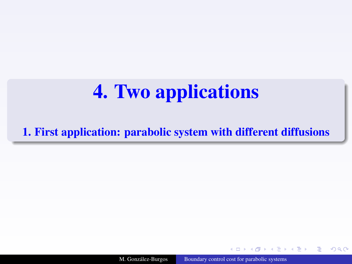<span id="page-38-1"></span><span id="page-38-0"></span>[1.](#page-38-0) First application: parabolic system with different diffusions

M. González-Burgos [Boundary control cost for parabolic systems](#page-0-0)

 $-4.171 - 6.1$ 

つくい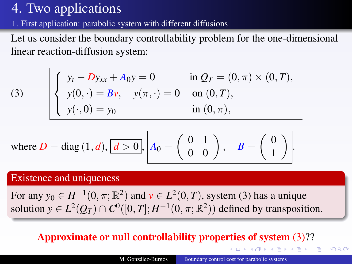[1.](#page-38-0) First application: parabolic system with different diffusions

Let us consider the boundary controllability problem for the one-dimensional linear reaction-diffusion system:

<span id="page-39-0"></span>
$$
\begin{cases}\ny_t - Dy_{xx} + A_0y = 0 & \text{in } Q_T = (0, \pi) \times (0, T), \\
y(0, \cdot) = Bv, \quad y(\pi, \cdot) = 0 & \text{on } (0, T), \\
y(\cdot, 0) = y_0 & \text{in } (0, \pi),\n\end{cases}
$$

where 
$$
D = \text{diag}(1, d), \boxed{d > 0}, \boxed{A_0 = \begin{pmatrix} 0 & 1 \\ 0 & 0 \end{pmatrix}}, \quad B = \begin{pmatrix} 0 \\ 1 \end{pmatrix}.
$$

#### Existence and uniqueness

(3)

For any  $y_0 \in H^{-1}(0, \pi; \mathbb{R}^2)$  and  $v \in L^2(0, T)$ , system [\(3\)](#page-39-0) has a unique solution  $y \in L^2(Q_T) \cap C^0([0,T]; H^{-1}(0,\pi;\mathbb{R}^2))$  defined by transposition.

### Approximate or null controllability properties of system [\(3\)](#page-39-0)??

**◆ロト→個ト→ 電ト→ ◆暑ト** 

 $QQ$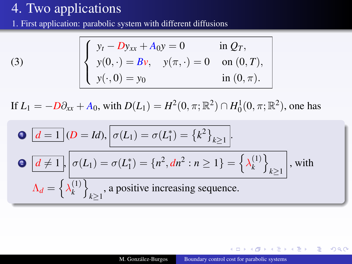[1.](#page-38-0) First application: parabolic system with different diffusions

(3) 
$$
\begin{cases} y_t - Dy_{xx} + A_0 y = 0 & \text{in } Q_T, \\ y(0, \cdot) = Bv, \quad y(\pi, \cdot) = 0 & \text{on } (0, T), \\ y(\cdot, 0) = y_0 & \text{in } (0, \pi). \end{cases}
$$

If  $L_1 = -D\partial_{xx} + A_0$ , with  $D(L_1) = H^2(0, \pi; \mathbb{R}^2) \cap H_0^1(0, \pi; \mathbb{R}^2)$ , one has

\n- \n
$$
\mathbf{0} \quad \boxed{d=1} \quad (D = Id), \quad \sigma(L_1) = \sigma(L_1^*) = \left\{k^2\right\}_{k \geq 1}.
$$
\n
\n- \n
$$
\mathbf{0} \quad \boxed{d \neq 1}, \quad \sigma(L_1) = \sigma(L_1^*) = \left\{n^2, dn^2 : n \geq 1\right\} = \left\{\lambda_k^{(1)}\right\}_{k \geq 1}, \quad \text{with} \quad \lambda_d = \left\{\lambda_k^{(1)}\right\}_{k \geq 1}, \quad \text{a positive increasing sequence.}
$$
\n
\n

 $-4.171 - 6.1$ 

 $QQ$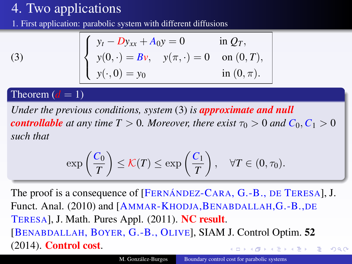[1.](#page-38-0) First application: parabolic system with different diffusions

$$
\begin{cases}\ny_t - Dy_{xx} + A_0 y = 0 & \text{in } Q_T, \\
y(0, \cdot) = Bv, \quad y(\pi, \cdot) = 0 & \text{on } (0, T), \\
y(\cdot, 0) = y_0 & \text{in } (0, \pi).\n\end{cases}
$$

[\(3\)](#page-39-0)

#### Theorem  $(d = 1)$

*Under the previous conditions, system* [\(3\)](#page-39-0) *is approximate and null controllable* at any time  $T > 0$ . Moreover, there exist  $\tau_0 > 0$  and  $C_0, C_1 > 0$ *such that*

$$
\exp\left(\frac{C_0}{T}\right) \leq \mathcal{K}(T) \leq \exp\left(\frac{C_1}{T}\right), \quad \forall T \in (0, \tau_0).
$$

The proof is a consequence of [FERNÁNDEZ-CARA, G.-B., DE TERESA], J. Funct. Anal. (2010) and [AMMAR-KHODJA, BENABDALLAH, G.-B., DE TERESA], J. Math. Pures Appl. (2011). NC result. [BENABDALLAH, BOYER, G.-B., OLIVE], SIAM J. Control Optim. 52 (2014). Control cost. イロト (何) イヨト (ヨ)  $QQ$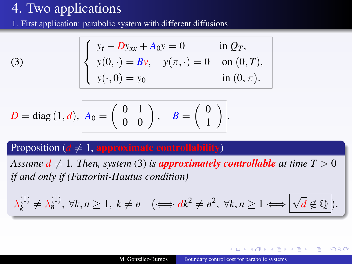[1.](#page-38-0) First application: parabolic system with different diffusions

(3) 
$$
\begin{cases} y_t - Dy_{xx} + A_0 y = 0 & \text{in } Q_T, \\ y(0, \cdot) = Bv, \quad y(\pi, \cdot) = 0 & \text{on } (0, T), \\ y(\cdot, 0) = y_0 & \text{in } (0, \pi). \end{cases}
$$

$$
D = \text{diag}(1, d), \begin{bmatrix} A_0 = \begin{pmatrix} 0 & 1 \\ 0 & 0 \end{pmatrix}, B = \begin{pmatrix} 0 \\ 1 \end{pmatrix}.
$$

### Proposition ( $d \neq 1$ , approximate controllability)

*Assume*  $d \neq 1$ *. Then, system* [\(3\)](#page-39-0) *is approximately controllable at time*  $T > 0$ *if and only if (Fattorini-Hautus condition)*

$$
\lambda_k^{(1)} \neq \lambda_n^{(1)}, \ \forall k, n \geq 1, \ k \neq n \quad (\Longleftrightarrow dk^2 \neq n^2, \ \forall k, n \geq 1 \Longleftrightarrow \boxed{\sqrt{d} \not\in \mathbb{Q}}.
$$

**≮ロト ⊀伊ト ⊀ミト** 

 $QQ$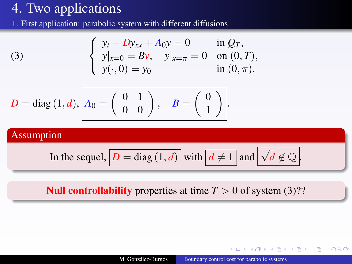[1.](#page-38-0) First application: parabolic system with different diffusions

(3) 
$$
\begin{cases} y_t - Dy_{xx} + A_0 y = 0 & \text{in } Q_T, \\ y|_{x=0} = Bv, \quad y|_{x=\pi} = 0 & \text{on } (0, T), \\ y(\cdot, 0) = y_0 & \text{in } (0, \pi). \end{cases}
$$

$$
D = \text{diag}(1, d), \begin{bmatrix} A_0 = \begin{pmatrix} 0 & 1 \\ 0 & 0 \end{pmatrix}, B = \begin{pmatrix} 0 \\ 1 \end{pmatrix}.
$$

### Assumption

In the sequel, 
$$
\boxed{D = \text{diag}(1, d)}
$$
 with  $\boxed{d \neq 1}$  and  $\boxed{\sqrt{d} \not\in \mathbb{Q}}$ .

### **Null controllability** properties at time  $T > 0$  of system [\(3\)](#page-39-0)??

**K ロ ▶ K 伊 ▶ K 王** 

 $2Q$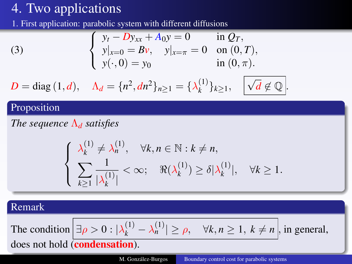[1.](#page-38-0) First application: parabolic system with different diffusions

(3) 
$$
\begin{cases} y_t - Dy_{xx} + A_0 y = 0 & \text{in } Q_T, \\ y|_{x=0} = Bv, \quad y|_{x=\pi} = 0 & \text{on } (0, T), \\ y(\cdot, 0) = y_0 & \text{in } (0, \pi). \end{cases}
$$

$$
D = \text{diag}(1, d), \quad \Lambda_d = \{n^2, dn^2\}_{n \ge 1} = \{\lambda_k^{(1)}\}_{k \ge 1}, \quad \boxed{\sqrt{d} \notin \mathbb{Q}}.
$$

#### Proposition

*The sequence* Λ*<sup>d</sup> satisfies*

$$
\begin{cases} \lambda_k^{(1)} \neq \lambda_n^{(1)}, \quad \forall k, n \in \mathbb{N} : k \neq n, \\ \sum_{k \geq 1} \frac{1}{|\lambda_k^{(1)}|} < \infty; \quad \Re(\lambda_k^{(1)}) \geq \delta |\lambda_k^{(1)}|, \quad \forall k \geq 1. \end{cases}
$$

#### Remark

The condition 
$$
\left| \exists \rho > 0 : |\lambda_k^{(1)} - \lambda_n^{(1)}| \ge \rho, \quad \forall k, n \ge 1, k \ne n \right|
$$
, in general, does not hold (condensation).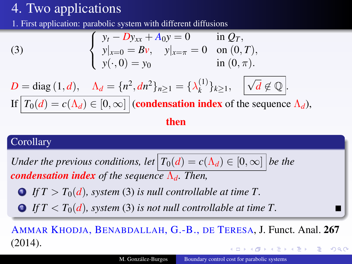[1.](#page-38-0) First application: parabolic system with different diffusions

(3)  
\n
$$
\begin{cases}\ny_t - Dy_{xx} + A_0y = 0 & \text{in } Q_T, \\
y|_{x=0} = Bv, \quad y|_{x=\pi} = 0 & \text{on } (0, T), \\
y(\cdot, 0) = y_0 & \text{in } (0, \pi).\n\end{cases}
$$
\n
$$
D = \text{diag}(1, d), \quad \Lambda_d = \{n^2, dn^2\}_{n \ge 1} = \{\lambda_k^{(1)}\}_{k \ge 1}, \quad \sqrt{d} \notin \mathbb{Q}.
$$
\nIf  $T_0(d) = c(\Lambda_d) \in [0, \infty]$  (condensation index of the sequence  $\Lambda_d$ ), then

### **Corollary**

*Under the previous conditions, let*  $T_0(d) = c(\Lambda_d) \in [0, \infty]$  *be the condensation index of the sequence* Λ*d. Then,*

- **1 If**  $T > T_0(d)$ , system [\(3\)](#page-39-0) is null controllable at time  $T$ .
- **2** If  $T < T_0(d)$ , system [\(3\)](#page-39-0) is not null controllable at time T.

AMMAR KHODJA, BENABDALLAH, G.-B., DE TERESA, J. Funct. Anal. 267 (2014).  $\Omega$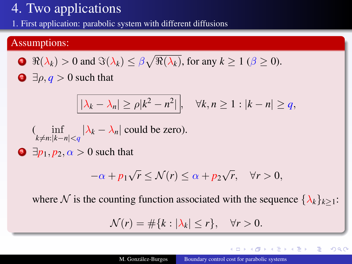[1.](#page-38-0) First application: parabolic system with different diffusions

#### Assumptions:

**1**  $\Re(\lambda_k) > 0$  and  $\Im(\lambda_k) \leq \beta \sqrt{\Re(\lambda_k)}$ , for any  $k \geq 1$  ( $\beta \geq 0$ ).  $\supseteq$   $\exists \rho, q > 0$  such that

$$
|\lambda_k - \lambda_n| \ge \rho |k^2 - n^2|, \quad \forall k, n \ge 1 : |k - n| \ge q,
$$

$$
(\inf_{k \neq n: |k - n| < q} |\lambda_k - \lambda_n| \text{ could be zero}).
$$

 $\Theta$   $\exists p_1, p_2, \alpha > 0$  such that

$$
-\alpha + p_1 \sqrt{r} \le \mathcal{N}(r) \le \alpha + p_2 \sqrt{r}, \quad \forall r > 0,
$$

where N is the counting function associated with the sequence  $\{\lambda_k\}_{k\geq 1}$ :

$$
\mathcal{N}(r) = \#\{k : |\lambda_k| \le r\}, \quad \forall r > 0.
$$

4 17 18

 $A\rightarrow A$ 

つくい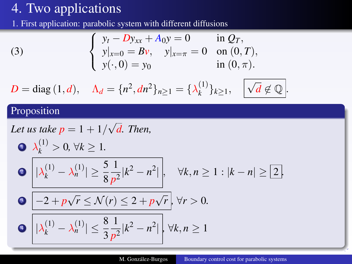[1.](#page-38-0) First application: parabolic system with different diffusions

(3) 
$$
\begin{cases} y_t - Dy_{xx} + A_0 y = 0 & \text{in } Q_T, \\ y|_{x=0} = Bv, \quad y|_{x=\pi} = 0 & \text{on } (0, T), \\ y(\cdot, 0) = y_0 & \text{in } (0, \pi). \end{cases}
$$

$$
D = \text{diag}(1, d), \quad \Lambda_d = \{n^2, dn^2\}_{n \ge 1} = \{\lambda_k^{(1)}\}_{k \ge 1}, \quad \sqrt{d} \notin \mathbb{Q}.
$$

### Proposition

Let us take 
$$
p = 1 + 1/\sqrt{d}
$$
. Then,  
\n
$$
\begin{aligned}\n\mathbf{\Delta}_{k}^{(1)} > 0, \forall k \ge 1. \\
\mathbf{\Theta} & |\lambda_{k}^{(1)} - \lambda_{n}^{(1)}| \ge \frac{5}{8} \frac{1}{p^{2}} |k^{2} - n^{2}|, \quad \forall k, n \ge 1 : |k - n| \ge 2.\n\end{aligned}
$$
\n
$$
\mathbf{\Theta} \quad \boxed{|\lambda_{k}^{(1)} - \lambda_{n}^{(1)}| \le \frac{8}{3} \frac{1}{p^{2}} |k^{2} - n^{2}|}, \forall k, n \ge 1
$$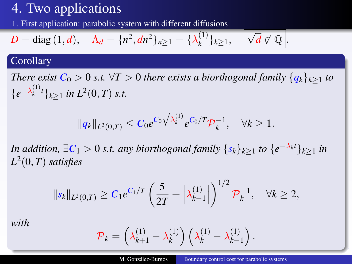[1.](#page-38-0) First application: parabolic system with different diffusions

$$
D = \text{diag}(1, d), \quad \Lambda_d = \{n^2, dn^2\}_{n \geq 1} = \{\lambda_k^{(1)}\}_{k \geq 1}, \quad \sqrt{d} \notin \mathbb{Q}.
$$

#### **Corollary**

*There exist*  $C_0 > 0$  *s.t.*  $\forall T > 0$  *there exists a biorthogonal family*  $\{q_k\}_{k>1}$  *to*  ${e^{-\lambda_k^{(1)}t}}_{k\geq 1}$  *in*  $L^2(0,T)$  *s.t.* 

$$
||q_k||_{L^2(0,T)} \leq C_0 e^{C_0 \sqrt{\lambda_k^{(1)}}} e^{C_0/T} \mathcal{P}_k^{-1}, \quad \forall k \geq 1.
$$

*In addition,*  $\exists C_1 > 0$  *s.t. any biorthogonal family*  $\{s_k\}_{k\geq 1}$  *to*  $\{e^{-\lambda_k t}\}_{k\geq 1}$  *in L* 2 (0, *T*) *satisfies*

$$
||s_k||_{L^2(0,T)} \geq C_1 e^{C_1/T} \left(\frac{5}{2T} + \left|\lambda_{k-1}^{(1)}\right|\right)^{1/2} \mathcal{P}_k^{-1}, \quad \forall k \geq 2,
$$

*with*

$$
\mathcal{P}_k = \left(\lambda_{k+1}^{(1)} - \lambda_k^{(1)}\right) \left(\lambda_k^{(1)} - \lambda_{k-1}^{(1)}\right).
$$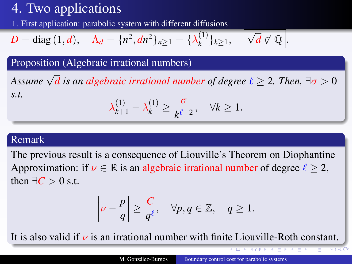[1.](#page-38-0) First application: parabolic system with different diffusions

$$
D = \text{diag}(1, d), \quad \Lambda_d = \{n^2, dn^2\}_{n \geq 1} = \{\lambda_k^{(1)}\}_{k \geq 1}, \quad \sqrt{d} \notin \mathbb{Q}.
$$

Proposition (Algebraic irrational numbers)

*Assume*  $\sqrt{d}$  *is an algebraic irrational number of degree*  $\ell \geq 2$ *. Then,*  $\exists \sigma > 0$ *s.t.* (1) (1) σ

$$
\lambda_{k+1}^{(1)} - \lambda_k^{(1)} \ge \frac{6}{k^{\ell-2}}, \quad \forall k \ge 1.
$$

#### Remark

The previous result is a consequence of Liouville's Theorem on Diophantine Approximation: if  $\nu \in \mathbb{R}$  is an algebraic irrational number of degree  $\ell > 2$ , then  $\exists C > 0$  s.t.

$$
\left|\nu - \frac{p}{q}\right| \geq \frac{C}{q^{\ell}}, \quad \forall p, q \in \mathbb{Z}, \quad q \geq 1.
$$

It is also valid if  $\nu$  is an irrational number with finite Liouville-Roth constant.

₹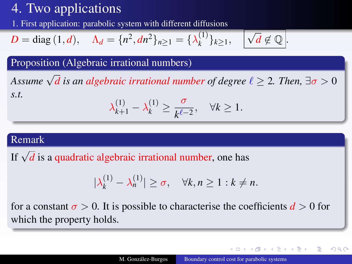[1.](#page-38-0) First application: parabolic system with different diffusions

$$
D = \text{diag}(1, d), \quad \Lambda_d = \{n^2, dn^2\}_{n \geq 1} = \{\lambda_k^{(1)}\}_{k \geq 1}, \quad \sqrt{d} \notin \mathbb{Q}.
$$

Proposition (Algebraic irrational numbers)

*Assume*  $\sqrt{d}$  *is an algebraic irrational number of degree*  $\ell \geq 2$ *. Then,*  $\exists \sigma > 0$ *s.t.* (1) (1) σ

$$
\lambda_{k+1}^{(1)} - \lambda_k^{(1)} \ge \frac{6}{k^{\ell-2}}, \quad \forall k \ge 1.
$$

#### Remark

If √ *d* is a quadratic algebraic irrational number, one has

$$
|\lambda_k^{(1)} - \lambda_n^{(1)}| \ge \sigma, \quad \forall k, n \ge 1 : k \ne n.
$$

for a constant  $\sigma > 0$ . It is possible to characterise the coefficients  $d > 0$  for which the property holds.

∢ ロ ▶ ∢ 伊 ▶ ∢ ヨ ▶ ∢ ヨ ▶

つくい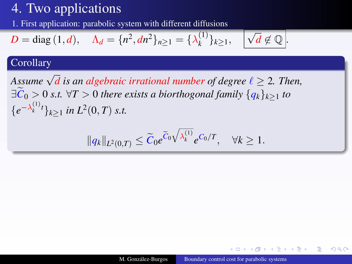[1.](#page-38-0) First application: parabolic system with different diffusions

$$
D = \text{diag}(1, d), \quad \Lambda_d = \{n^2, dn^2\}_{n \geq 1} = \{\lambda_k^{(1)}\}_{k \geq 1}, \quad \sqrt{d} \notin \mathbb{Q}.
$$

#### **Corollary**

*Assume*  $\sqrt{d}$  *is an algebraic irrational number of degree*  $\ell \geq 2$ *. Then,*  $\exists C_0 > 0$  *s.t.*  $\forall T > 0$  *there exists a biorthogonal family*  $\{q_k\}_{k>1}$  *to*  ${e^{-\lambda_k^{(1)}t}}_{k\geq 1}$  *in*  $L^2(0,T)$  *s.t.* 

$$
||q_k||_{L^2(0,T)} \leq \widetilde{C}_0 e^{\widetilde{C}_0 \sqrt{\lambda_k^{(1)}}} e^{C_0/T}, \quad \forall k \geq 1.
$$

A + + 2 +

 $2Q$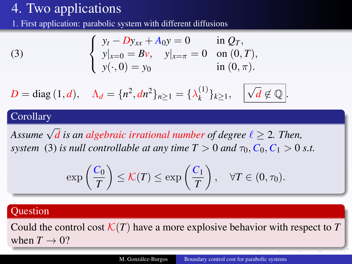<span id="page-52-0"></span>[1.](#page-38-0) First application: parabolic system with different diffusions

(3) 
$$
\begin{cases} y_t - Dy_{xx} + A_0 y = 0 & \text{in } Q_T, \\ y|_{x=0} = Bv, \quad y|_{x=\pi} = 0 & \text{on } (0, T), \\ y(\cdot, 0) = y_0 & \text{in } (0, \pi). \end{cases}
$$

$$
D = \text{diag}(1, d), \quad \Lambda_d = \{n^2, dn^2\}_{n \ge 1} = \{\lambda_k^{(1)}\}_{k \ge 1}, \quad \boxed{\sqrt{d} \notin \mathbb{Q}}.
$$

#### **Corollary**

*Assume*  $\sqrt{d}$  *is an algebraic irrational number of degree*  $\ell \geq 2$ *. Then, system* [\(3\)](#page-39-0) *is null controllable at any time*  $T > 0$  *and*  $\tau_0$ ,  $C_0$ ,  $C_1 > 0$  *s.t.* 

$$
\exp\left(\frac{C_0}{T}\right) \leq \mathcal{K}(T) \leq \exp\left(\frac{C_1}{T}\right), \quad \forall T \in (0, \tau_0).
$$

#### **Question**

Could the control cost  $\mathcal{K}(T)$  have a more explosive behavior with respect to T when  $T \rightarrow 0$ ?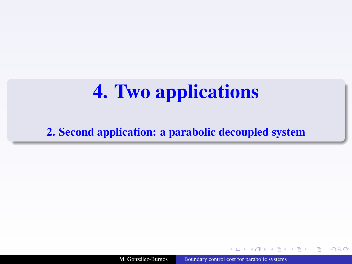<span id="page-53-1"></span><span id="page-53-0"></span>[2.](#page-53-0) Second application: a parabolic decoupled system

M. González-Burgos [Boundary control cost for parabolic systems](#page-0-0)

 $4.171.6$ 

**North Bar** 

 $\Omega$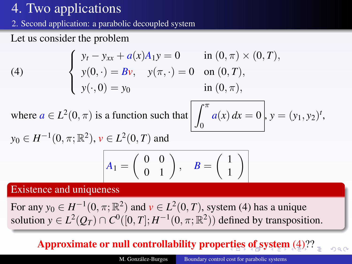<span id="page-54-0"></span>[2.](#page-53-0) Second application: a parabolic decoupled system

Let us consider the problem

<span id="page-54-1"></span>(4) 
$$
\begin{cases} y_t - y_{xx} + a(x)A_1y = 0 & \text{in } (0, \pi) \times (0, T), \\ y(0, \cdot) = Bv, \quad y(\pi, \cdot) = 0 & \text{on } (0, T), \\ y(\cdot, 0) = y_0 & \text{in } (0, \pi), \end{cases}
$$

where  $a \in L^2(0, \pi)$  is a function such that  $\left| \int_{0}^{\pi} \right|$ 

$$
\text{at}\left[\int_0^{\pi} a(x) \, dx = 0\right], y = (y_1, y_2)^t,
$$

 $\Omega$ 

1 1  $\setminus$ 

$$
y_0 \in H^{-1}(0, \pi; \mathbb{R}^2), v \in L^2(0, T)
$$
 and  

$$
A_1 = \begin{pmatrix} 0 & 0 \\ 0 & 1 \end{pmatrix}, B = \begin{pmatrix} 0 & 0 \\ 0 & 1 \end{pmatrix}
$$

Existence and uniqueness

For any  $y_0 \in H^{-1}(0, \pi; \mathbb{R}^2)$  and  $v \in L^2(0, T)$ , system [\(4\)](#page-54-1) has a unique solution  $y \in L^2(Q_T) \cap C^0([0,T]; H^{-1}(0,\pi;\mathbb{R}^2))$  defined by transposition.

## Approximate or null controllability prope[rti](#page-53-1)[es](#page-55-0) [o](#page-53-1)[f s](#page-54-0)[y](#page-55-0)[s](#page-52-0)[t](#page-53-1)[em](#page-71-0) [\(](#page-38-1)[4](#page-54-1)[\)?](#page-71-0)[?](#page-0-0)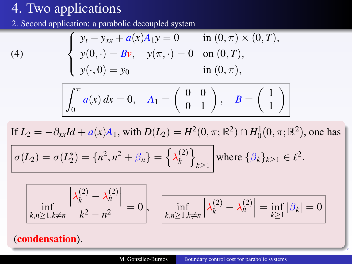$(4)$ 

<span id="page-55-0"></span>[2.](#page-53-0) Second application: a parabolic decoupled system

$$
\begin{cases}\n y_t - y_{xx} + a(x)A_1y = 0 & \text{in } (0, \pi) \times (0, T), \\
 y(0, \cdot) = Bv, \quad y(\pi, \cdot) = 0 & \text{on } (0, T), \\
 y(\cdot, 0) = y_0 & \text{in } (0, \pi),\n\end{cases}
$$

$$
\int_0^{\pi} a(x) dx = 0, \quad A_1 = \begin{pmatrix} 0 & 0 \\ 0 & 1 \end{pmatrix}, \quad B = \begin{pmatrix} 1 \\ 1 \end{pmatrix}
$$

If  $L_2 = -\partial_{xx}Id + a(x)A_1$ , with  $D(L_2) = H^2(0, \pi; \mathbb{R}^2) \cap H_0^1(0, \pi; \mathbb{R}^2)$ , one has

$$
\sigma(L_2)=\sigma(L_2^*)=\{n^2,n^2+\beta_n\}=\left\{\lambda_k^{(2)}\right\}_{k\geq 1} \text{ where } \{\beta_k\}_{k\geq 1} \in \ell^2.
$$

$$
\left| \inf_{k,n \ge 1, k \ne n} \frac{\left| \lambda_k^{(2)} - \lambda_n^{(2)} \right|}{k^2 - n^2} \right| = 0, \quad \left| \inf_{k,n \ge 1, k \ne n} \left| \lambda_k^{(2)} - \lambda_n^{(2)} \right| = \inf_{k \ge 1} |\beta_k| = 0 \right|
$$

### (condensation).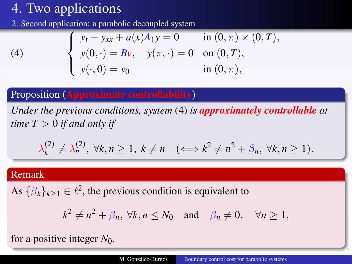[2.](#page-53-0) Second application: a parabolic decoupled system

(4) 
$$
\begin{cases} y_t - y_{xx} + a(x)A_1y = 0 & \text{in } (0, \pi) \times (0, T), \\ y(0, \cdot) = Bv, \quad y(\pi, \cdot) = 0 & \text{on } (0, T), \\ y(\cdot, 0) = y_0 & \text{in } (0, \pi), \end{cases}
$$

### Proposition (Approximate controllability)

*Under the previous conditions, system* [\(4\)](#page-54-1) *is approximately controllable at time*  $T > 0$  *if and only if* 

$$
\lambda_k^{(2)} \neq \lambda_n^{(2)}, \ \forall k, n \ge 1, \ k \ne n \quad (\Longleftrightarrow k^2 \neq n^2 + \beta_n, \ \forall k, n \ge 1).
$$

#### Remark

As  $\{\beta_k\}_{k\geq 1} \in \ell^2$ , the previous condition is equivalent to

$$
k^2 \neq n^2 + \beta_n
$$
,  $\forall k, n \leq N_0$  and  $\beta_n \neq 0$ ,  $\forall n \geq 1$ ,

for a positive integer *N*0.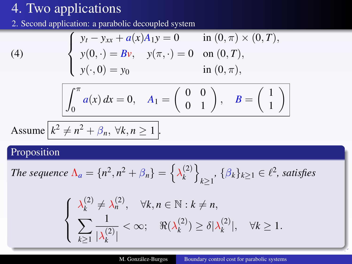[2.](#page-53-0) Second application: a parabolic decoupled system

(4) 
$$
\begin{cases} y_t - y_{xx} + a(x)A_1y = 0 & \text{in } (0, \pi) \times (0, T), \\ y(0, \cdot) = Bv, \quad y(\pi, \cdot) = 0 & \text{on } (0, T), \\ y(\cdot, 0) = y_0 & \text{in } (0, \pi), \end{cases}
$$

$$
\int_0^{\pi} a(x) dx = 0, \quad A_1 = \begin{pmatrix} 0 & 0 \\ 0 & 1 \end{pmatrix}, \quad B = \begin{pmatrix} 1 \\ 1 \end{pmatrix}
$$

Assume 
$$
k^2 \neq n^2 + \beta_n, \forall k, n \geq 1
$$
.

### Proposition

The sequence 
$$
\Lambda_a = \{n^2, n^2 + \beta_n\} = \left\{\lambda_k^{(2)}\right\}_{k\geq 1}
$$
,  $\{\beta_k\}_{k\geq 1} \in \ell^2$ , satisfies

$$
\begin{cases} \lambda_k^{(2)} \neq \lambda_n^{(2)}, \quad \forall k, n \in \mathbb{N} : k \neq n, \\ \sum_{k \geq 1} \frac{1}{|\lambda_k^{(2)}|} < \infty; \quad \Re(\lambda_k^{(2)}) \geq \delta |\lambda_k^{(2)}|, \quad \forall k \geq 1. \end{cases}
$$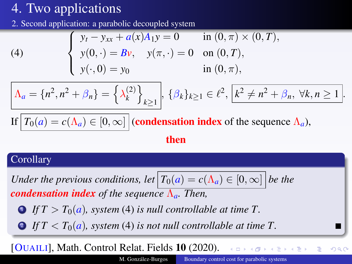[2.](#page-53-0) Second application: a parabolic decoupled system

(4) 
$$
\begin{cases} y_t - y_{xx} + a(x)A_1y = 0 & \text{in } (0, \pi) \times (0, T), \\ y(0, \cdot) = Bv, \quad y(\pi, \cdot) = 0 & \text{on } (0, T), \\ y(\cdot, 0) = y_0 & \text{in } (0, \pi), \end{cases}
$$

$$
\Lambda_a = \{n^2, n^2 + \beta_n\} = \left\{\lambda_k^{(2)}\right\}_{k \ge 1}, \ \{\beta_k\}_{k \ge 1} \in \ell^2, \ \boxed{k^2 \neq n^2 + \beta_n, \ \forall k, n \ge 1}.
$$
  
If 
$$
T_0(a) = c(\Lambda_a) \in [0, \infty] \ | \text{condensation index of the sequence } \Lambda_a),
$$

#### then

#### **Corollary**

*Under the previous conditions, let*  $T_0(a) = c(\Lambda_a) \in [0, \infty]$  *be the condensation index of the sequence* Λ*a. Then,*

**1 If**  $T > T_0(a)$ , system [\(4\)](#page-54-1) is null controllable at time T.

**2** If  $T < T_0(a)$ , system [\(4\)](#page-54-1) is not null controllable at time T.

[OUAILI], Math. Control Relat. Fields 10 (2020).

 $\Omega$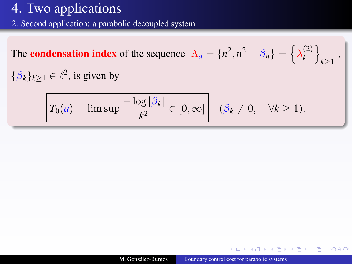[2.](#page-53-0) Second application: a parabolic decoupled system

The **condensation index** of the sequence 
$$
\Lambda_a = \{n^2, n^2 + \beta_n\} = \{\lambda_k^{(2)}\}_{k \ge 1}
$$
,  
 $\{\beta_k\}_{k \ge 1} \in \ell^2$ , is given by  
 $T_0(a) = \limsup \frac{-\log |\beta_k|}{k^2} \in [0, \infty]$   $(\beta_k \ne 0, \forall k \ge 1).$ 

 $\leftarrow$   $\Box$ 

× 伊 ▶ 4回 ▶ つへへ

∍

÷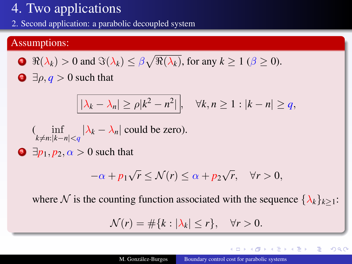[2.](#page-53-0) Second application: a parabolic decoupled system

#### Assumptions:

**1**  $\Re(\lambda_k) > 0$  and  $\Im(\lambda_k) \leq \beta \sqrt{\Re(\lambda_k)}$ , for any  $k \geq 1$  ( $\beta \geq 0$ ).  $\supseteq$   $\exists \rho, q > 0$  such that

$$
|\lambda_k - \lambda_n| \ge \rho |k^2 - n^2|, \quad \forall k, n \ge 1 : |k - n| \ge q,
$$

$$
(\inf_{k \neq n: |k-n| < q} |\lambda_k - \lambda_n| \text{ could be zero}).
$$

 $\Theta$   $\exists p_1, p_2, \alpha > 0$  such that

$$
-\alpha + p_1 \sqrt{r} \le \mathcal{N}(r) \le \alpha + p_2 \sqrt{r}, \quad \forall r > 0,
$$

where N is the counting function associated with the sequence  $\{\lambda_k\}_{k\geq 1}$ :

$$
\mathcal{N}(r) = \#\{k : |\lambda_k| \le r\}, \quad \forall r > 0.
$$

4 17 18

 $A\rightarrow A$ 

 $2Q$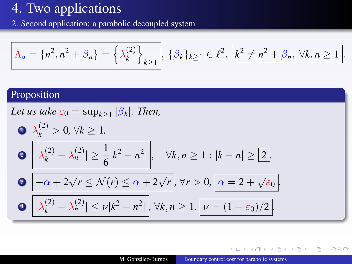[2.](#page-53-0) Second application: a parabolic decoupled system

$$
\Lambda_a = \{n^2, n^2 + \beta_n\} = \left\{\lambda_k^{(2)}\right\}_{k \ge 1}, \ \{\beta_k\}_{k \ge 1} \in \ell^2, \ \boxed{k^2 \neq n^2 + \beta_n, \ \forall k, n \ge 1}.
$$

### Proposition

Let us take 
$$
\varepsilon_0 = \sup_{k \ge 1} |\beta_k|
$$
. Then,  
\n
$$
\begin{aligned}\n\mathbf{O} &\quad \lambda_k^{(2)} > 0, \forall k \ge 1. \\
\mathbf{O} &\quad |\lambda_k^{(2)} - \lambda_n^{(2)}| \ge \frac{1}{6} |k^2 - n^2|, \quad \forall k, n \ge 1 : |k - n| \ge 2.\n\end{aligned}
$$
\n
$$
\mathbf{O} &\quad \boxed{-\alpha + 2\sqrt{r} \le \mathcal{N}(r) \le \alpha + 2\sqrt{r}} \quad \forall r > 0, \boxed{\alpha = 2 + \sqrt{\varepsilon_0}}.
$$
\n
$$
\mathbf{O} &\quad |\lambda_k^{(2)} - \lambda_n^{(2)}| \le \nu |k^2 - n^2|, \forall k, n \ge 1, \boxed{\nu = (1 + \varepsilon_0)/2}.
$$

 $\leftarrow$   $\Box$ 

 $\prec$ 同 ▶ 4 舌 Þ

э

つへへ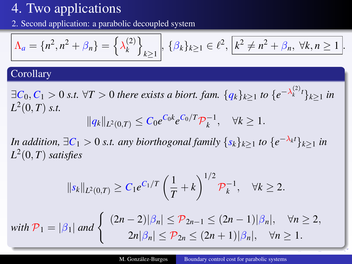<span id="page-62-0"></span>[2.](#page-53-0) Second application: a parabolic decoupled system

$$
\Lambda_a = \{n^2, n^2 + \beta_n\} = \left\{\lambda_k^{(2)}\right\}_{k \ge 1}, \ \{\beta_k\}_{k \ge 1} \in \ell^2, \ \boxed{k^2 \neq n^2 + \beta_n, \ \forall k, n \ge 1}.
$$

#### **Corollary**

∃ $C_0, C_1 > 0$  *s.t.* ∀*T* > 0 *there exists a biort. fam.* { $q_k$ }<sub>*k*≥1</sub> *to* { $e^{-\lambda_k^{(2)}t}$ }<sub>*k*≥1</sub> *in*  $L^2(0,T)$  *s.t.* 

$$
||q_k||_{L^2(0,T)} \leq C_0 e^{C_0 k} e^{C_0/T} \mathcal{P}_k^{-1}, \quad \forall k \geq 1.
$$

*In addition,*  $\exists C_1 > 0$  *s.t. any biorthogonal family*  $\{s_k\}_{k\geq 1}$  *to*  $\{e^{-\lambda_k t}\}_{k\geq 1}$  *in L* 2 (0, *T*) *satisfies*

$$
||s_k||_{L^2(0,T)} \geq C_1 e^{C_1/T} \left(\frac{1}{T} + k\right)^{1/2} \mathcal{P}_k^{-1}, \quad \forall k \geq 2.
$$

with 
$$
\mathcal{P}_1 = |\beta_1|
$$
 and 
$$
\begin{cases} (2n-2)|\beta_n| \leq \mathcal{P}_{2n-1} \leq (2n-1)|\beta_n|, & \forall n \geq 2, \\ 2n|\beta_n| \leq \mathcal{P}_{2n} \leq (2n+1)|\beta_n|, & \forall n \geq 1. \end{cases}
$$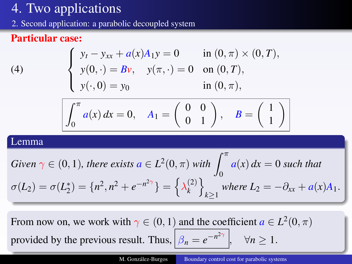<span id="page-63-0"></span>[2.](#page-53-0) Second application: a parabolic decoupled system

### Particular case:

(4) 
$$
\begin{cases} y_t - y_{xx} + a(x)A_1y = 0 & \text{in } (0, \pi) \times (0, T), \\ y(0, \cdot) = Bv, \quad y(\pi, \cdot) = 0 & \text{on } (0, T), \\ y(\cdot, 0) = y_0 & \text{in } (0, \pi), \end{cases}
$$

$$
\int_0^{\pi} a(x) dx = 0, \quad A_1 = \begin{pmatrix} 0 & 0 \\ 0 & 1 \end{pmatrix}, \quad B = \begin{pmatrix} 1 \\ 1 \end{pmatrix}
$$

#### Lemma

Given 
$$
\gamma \in (0, 1)
$$
, there exists  $a \in L^2(0, \pi)$  with  $\int_0^{\pi} a(x) dx = 0$  such that  
\n
$$
\sigma(L_2) = \sigma(L_2^*) = \{n^2, n^2 + e^{-n^2\gamma}\} = \left\{\lambda_k^{(2)}\right\}_{k \ge 1}
$$
 where  $L_2 = -\partial_{xx} + a(x)A_1$ .

From now on, we work with  $\gamma \in (0, 1)$  and the coefficient  $a \in L^2(0, \pi)$ provided by the previous result. Thus,  $\left| \beta_n \right| = e^{-n^2\gamma}$  $\forall n \geq 1$  $\forall n \geq 1$  $\forall n \geq 1$  $\forall n \geq 1$ [.](#page-71-0)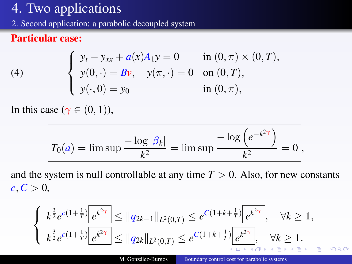<span id="page-64-0"></span>[2.](#page-53-0) Second application: a parabolic decoupled system

### Particular case:

(4) 
$$
\begin{cases} y_t - y_{xx} + a(x)A_1y = 0 & \text{in } (0, \pi) \times (0, T), \\ y(0, \cdot) = Bv, \quad y(\pi, \cdot) = 0 & \text{on } (0, T), \\ y(\cdot, 0) = y_0 & \text{in } (0, \pi), \end{cases}
$$

In this case ( $\gamma \in (0, 1)$ ),

$$
T_0(a) = \limsup \frac{-\log |\beta_k|}{k^2} = \limsup \frac{-\log (e^{-k^2\gamma})}{k^2} = 0,
$$

and the system is null controllable at any time  $T > 0$ . Also, for new constants  $c, C > 0$ ,

$$
\begin{cases} k^{\frac{3}{2}}e^{c(1+\frac{1}{T})}\left[e^{k^{2\gamma}}\right] \leq \|q_{2k-1}\|_{L^{2}(0,T)} \leq e^{C(1+k+\frac{1}{T})}\left[e^{k^{2\gamma}}\right], \quad \forall k \geq 1, \\ k^{\frac{3}{2}}e^{c(1+\frac{1}{T})}\left[e^{k^{2\gamma}}\right] \leq \|q_{2k}\|_{L^{2}(0,T)} \leq e^{C(1+k+\frac{1}{T})}\left[e^{k^{2\gamma}}\right], \quad \forall k \geq 1. \end{cases}
$$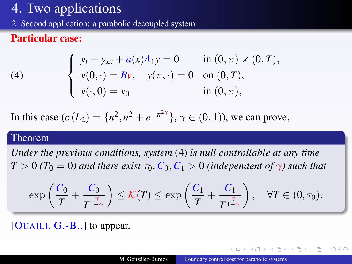[2.](#page-53-0) Second application: a parabolic decoupled system

### Particular case:

(4) 
$$
\begin{cases} y_t - y_{xx} + a(x)A_1y = 0 & \text{in } (0, \pi) \times (0, T), \\ y(0, \cdot) = Bv, \quad y(\pi, \cdot) = 0 & \text{on } (0, T), \\ y(\cdot, 0) = y_0 & \text{in } (0, \pi), \end{cases}
$$

In this case  $(\sigma(L_2) = \{n^2, n^2 + e^{-n^2\gamma}\}, \gamma \in (0, 1)$ , we can prove,

#### Theorem

*Under the previous conditions, system* [\(4\)](#page-54-1) *is null controllable at any time*  $T > 0$  *(T*<sub>0</sub> = 0*)* and there exist  $\tau_0$ ,  $C_0$ ,  $C_1 > 0$  *(independent of*  $\gamma$ *)* such that

$$
\exp\left(\frac{C_0}{T} + \frac{C_0}{T^{\frac{\gamma}{1-\gamma}}}\right) \leq \mathcal{K}(T) \leq \exp\left(\frac{C_1}{T} + \frac{C_1}{T^{\frac{\gamma}{1-\gamma}}}\right), \quad \forall T \in (0, \tau_0).
$$

[OUAILI,  $G.-B.,$ ] to appear.

◆ロト → 伊ト → ヨト → ヨト

 $2Q$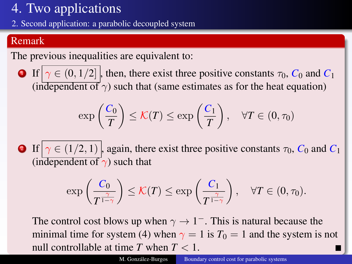[2.](#page-53-0) Second application: a parabolic decoupled system

### Remark

The previous inequalities are equivalent to:

**1** If  $\gamma \in (0, 1/2]$ , then, there exist three positive constants  $\tau_0$ ,  $C_0$  and  $C_1$ (independent of  $\gamma$ ) such that (same estimates as for the heat equation)

$$
\exp\left(\frac{C_0}{T}\right) \leq \mathcal{K}(T) \leq \exp\left(\frac{C_1}{T}\right), \quad \forall T \in (0, \tau_0)
$$

**2** If  $\gamma \in (1/2, 1)$ , again, there exist three positive constants  $\tau_0$ ,  $C_0$  and  $C_1$ (independent of  $\gamma$ ) such that

$$
\exp\left(\frac{C_0}{T^{\frac{\gamma}{1-\gamma}}}\right) \leq \mathcal{K}(T) \leq \exp\left(\frac{C_1}{T^{\frac{\gamma}{1-\gamma}}}\right), \quad \forall T \in (0, \tau_0).
$$

The control cost blows up when  $\gamma \to 1^-$ . This is natural because the minimal time for system [\(4\)](#page-54-1) when  $\gamma = 1$  is  $T_0 = 1$  and the system is not null controllable at time  $T$  when  $T < 1$ .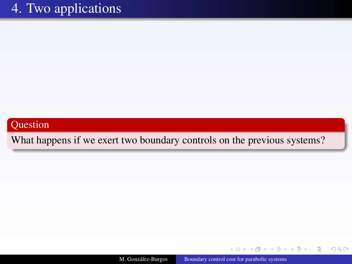#### <span id="page-67-0"></span>Question

What happens if we exert two boundary controls on the previous systems?

M. González-Burgos [Boundary control cost for parabolic systems](#page-0-0)

イロト (何) イヨト (ヨ)

Þ

つへへ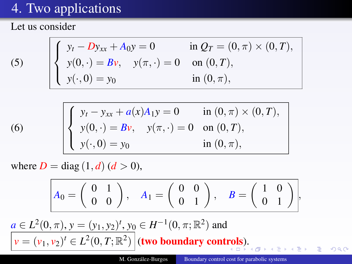Let us consider

(5)

<span id="page-68-0"></span>
$$
\begin{cases}\ny_t - Dy_{xx} + A_0 y = 0 & \text{in } Q_T = (0, \pi) \times (0, T), \\
y(0, \cdot) = Bv, \quad y(\pi, \cdot) = 0 & \text{on } (0, T), \\
y(\cdot, 0) = y_0 & \text{in } (0, \pi),\n\end{cases}
$$

(6) 
$$
\begin{cases} y_t - y_{xx} + a(x)A_1y = 0 & \text{in } (0, \pi) \times (0, T), \\ y(0, \cdot) = Bv, \quad y(\pi, \cdot) = 0 & \text{on } (0, T), \\ y(\cdot, 0) = y_0 & \text{in } (0, \pi), \end{cases}
$$

where  $D = \text{diag}(1, d)$   $(d > 0)$ ,

<span id="page-68-1"></span>
$$
A_0=\left(\begin{array}{cc}0&1\\0&0\end{array}\right),\quad A_1=\left(\begin{array}{cc}0&0\\0&1\end{array}\right),\quad B=\left(\begin{array}{cc}1&0\\0&1\end{array}\right),
$$

 $a \in L^2(0, \pi), y = (y_1, y_2)^t, y_0 \in H^{-1}(0, \pi; \mathbb{R}^2)$  and  $\nu=(\nu_1,\nu_2)^t\in L^2(0,T;\mathbb{R}^2)\,\big|$  $\nu=(\nu_1,\nu_2)^t\in L^2(0,T;\mathbb{R}^2)\,\big|$  $\nu=(\nu_1,\nu_2)^t\in L^2(0,T;\mathbb{R}^2)\,\big|$  (two boundary cont[ro](#page-67-0)ls)[.](#page-67-0)

 $290$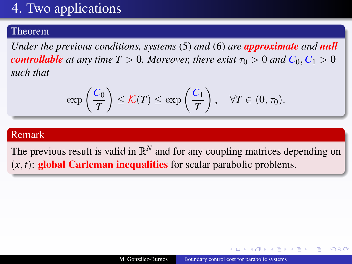#### <span id="page-69-0"></span>Theorem

*Under the previous conditions, systems* [\(5\)](#page-68-0) *and* [\(6\)](#page-68-1) *are approximate and null controllable* at any time  $T > 0$ . Moreover, there exist  $\tau_0 > 0$  and  $C_0, C_1 > 0$ *such that*

$$
\exp\left(\frac{C_0}{T}\right) \leq \mathcal{K}(T) \leq \exp\left(\frac{C_1}{T}\right), \quad \forall T \in (0, \tau_0).
$$

#### Remark

The previous result is valid in  $\mathbb{R}^N$  and for any coupling matrices depending on  $(x, t)$ : global Carleman inequalities for scalar parabolic problems.

つくい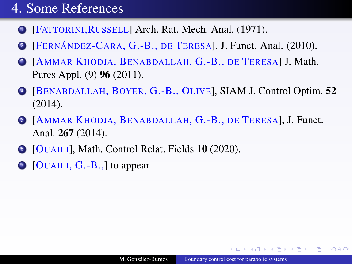## [4.](#page-38-0) Some References

- **1 [FATTORINI, RUSSELL] Arch. Rat. Mech. Anal. (1971).**
- <sup>2</sup> [FERNÁNDEZ-CARA, G.-B., DE TERESA], J. Funct. Anal. (2010).
- <sup>3</sup> [AMMAR KHODJA, BENABDALLAH, G.-B., DE TERESA] J. Math. Pures Appl. (9) 96 (2011).
- <sup>4</sup> [BENABDALLAH, BOYER, G.-B., OLIVE], SIAM J. Control Optim. 52 (2014).
- <sup>5</sup> [AMMAR KHODJA, BENABDALLAH, G.-B., DE TERESA], J. Funct. Anal. 267 (2014).
- [OUAILI], Math. Control Relat. Fields 10 (2020).
- $\bigcirc$  [OUAILI, G.-B.,] to appear.

 $2Q$ 

伊 ▶ 4 ヨ ▶ 4 ヨ ▶